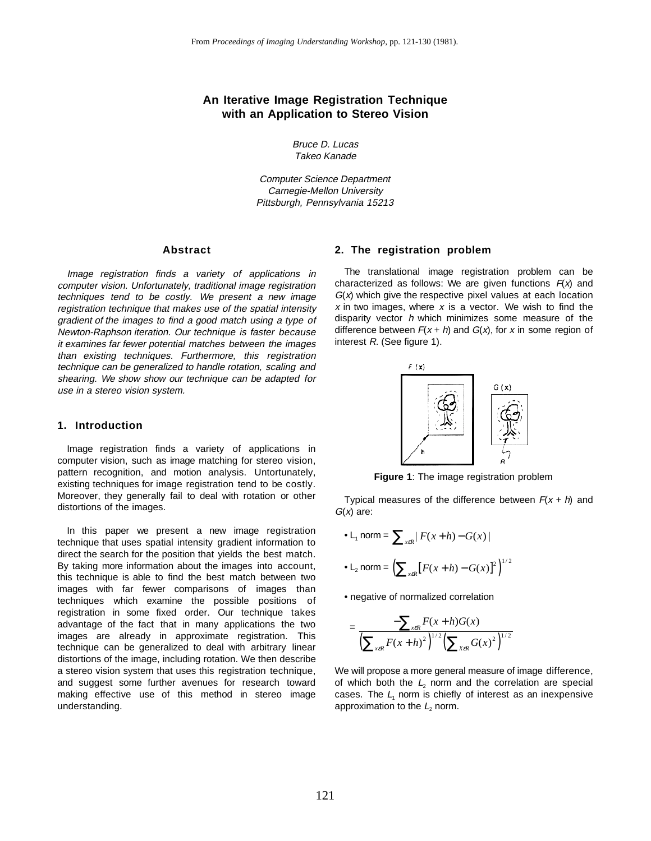# **An Iterative Image Registration Technique with an Application to Stereo Vision**

Bruce D. Lucas Takeo Kanade

Computer Science Department Carnegie-Mellon University Pittsburgh, Pennsylvania 15213

## **Abstract**

Image registration finds a variety of applications in computer vision. Unfortunately, traditional image registration techniques tend to be costly. We present a new image registration technique that makes use of the spatial intensity gradient of the images to find a good match using a type of Newton-Raphson iteration. Our technique is faster because it examines far fewer potential matches between the images than existing techniques. Furthermore, this registration technique can be generalized to handle rotation, scaling and shearing. We show show our technique can be adapted for use in a stereo vision system.

## **1. Introduction**

Image registration finds a variety of applications in computer vision, such as image matching for stereo vision, pattern recognition, and motion analysis. Untortunately, existing techniques for image registration tend to be costly. Moreover, they generally fail to deal with rotation or other distortions of the images.

In this paper we present a new image registration technique that uses spatial intensity gradient information to direct the search for the position that yields the best match. By taking more information about the images into account, this technique is able to find the best match between two images with far fewer comparisons of images than techniques which examine the possible positions of registration in some fixed order. Our technique takes advantage of the fact that in many applications the two images are already in approximate registration. This technique can be generalized to deal with arbitrary linear distortions of the image, including rotation. We then describe a stereo vision system that uses this registration technique, and suggest some further avenues for research toward making effective use of this method in stereo image understanding.

## **2. The registration problem**

The translational image registration problem can be characterized as follows: We are given functions  $F(x)$  and  $G(x)$  which give the respective pixel values at each location  $x$  in two images, where  $x$  is a vector. We wish to find the disparity vector  $h$  which minimizes some measure of the difference between  $F(x + h)$  and  $G(x)$ , for x in some region of interest R. (See figure 1).



**Figure 1**: The image registration problem

Typical measures of the difference between  $F(x + h)$  and  $G(x)$  are:

• L<sub>1</sub> norm = 
$$
\sum_{x \in R} |F(x+h) - G(x)|
$$
  
• L<sub>2</sub> norm = 
$$
\left(\sum_{x \in R} [F(x+h) - G(x)]^2\right)^{1/2}
$$

• negative of normalized correlation

$$
= \frac{-\sum_{x \in R} F(x+h)G(x)}{\left(\sum_{x \in R} F(x+h)^2\right)^{1/2}\left(\sum_{x \in R} G(x)^2\right)^{1/2}}
$$

We will propose a more general measure of image difference, of which both the  $L<sub>2</sub>$  norm and the correlation are special cases. The  $L<sub>1</sub>$  norm is chiefly of interest as an inexpensive approximation to the  $L<sub>2</sub>$  norm.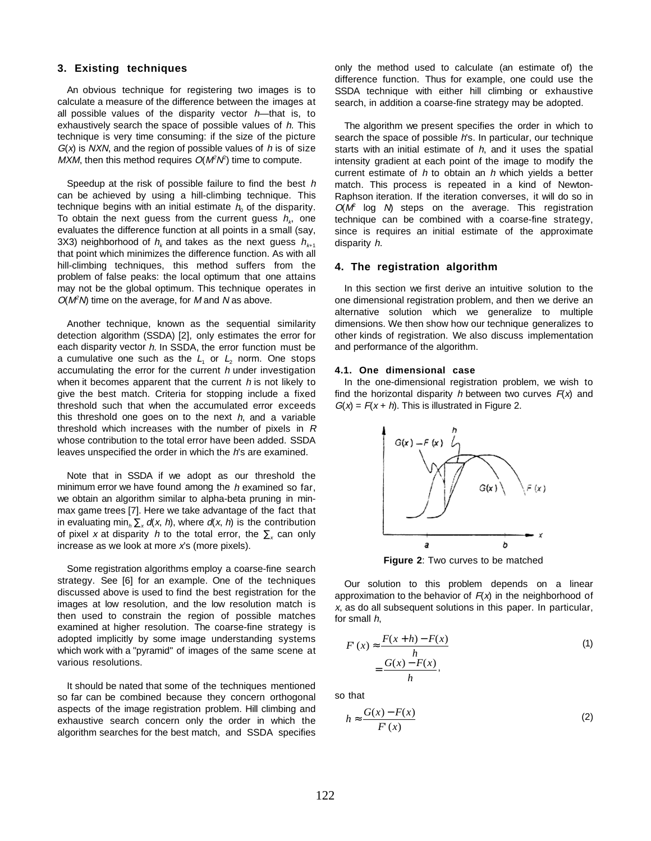# **3. Existing techniques**

An obvious technique for registering two images is to calculate a measure of the difference between the images at all possible values of the disparity vector  $h$ —that is, to exhaustively search the space of possible values of h. This technique is very time consuming: if the size of the picture  $G(x)$  is NXN, and the region of possible values of h is of size MXM, then this method requires  $O(M^2N^2)$  time to compute.

Speedup at the risk of possible failure to find the best h can be achieved by using a hill-climbing technique. This technique begins with an initial estimate  $h_0$  of the disparity. To obtain the next quess from the current quess  $h_k$ , one evaluates the difference function at all points in a small (say, 3X3) neighborhood of  $h_k$  and takes as the next guess  $h_{k+1}$ that point which minimizes the difference function. As with all hill-climbing techniques, this method suffers from the problem of false peaks: the local optimum that one attains may not be the global optimum. This technique operates in  $O(M^2N)$  time on the average, for M and N as above.

Another technique, known as the sequential similarity detection algorithm (SSDA) [2], only estimates the error for each disparity vector h. In SSDA, the error function must be a cumulative one such as the  $L<sub>1</sub>$  or  $L<sub>2</sub>$  norm. One stops accumulating the error for the current  $h$  under investigation when it becomes apparent that the current  $h$  is not likely to give the best match. Criteria for stopping include a fixed threshold such that when the accumulated error exceeds this threshold one goes on to the next  $h$ , and a variable threshold which increases with the number of pixels in  $$ whose contribution to the total error have been added. SSDA leaves unspecified the order in which the h's are examined.

Note that in SSDA if we adopt as our threshold the minimum error we have found among the  $h$  examined so far, we obtain an algorithm similar to alpha-beta pruning in minmax game trees [7]. Here we take advantage of the fact that in evaluating min<sub>h</sub>  $\sum_{x} d(x, h)$ , where  $d(x, h)$  is the contribution of pixel x at disparity h to the total error, the  $\Sigma_{x}$  can only increase as we look at more  $x$ 's (more pixels).

Some registration algorithms employ a coarse-fine search strategy. See [6] for an example. One of the techniques discussed above is used to find the best registration for the images at low resolution, and the low resolution match is then used to constrain the region of possible matches examined at higher resolution. The coarse-fine strategy is adopted implicitly by some image understanding systems which work with a "pyramid" of images of the same scene at various resolutions.

It should be nated that some of the techniques mentioned so far can be combined because they concern orthogonal aspects of the image registration problem. Hill climbing and exhaustive search concern only the order in which the algorithm searches for the best match, and SSDA specifies

only the method used to calculate (an estimate of) the difference function. Thus for example, one could use the SSDA technique with either hill climbing or exhaustive search, in addition a coarse-fine strategy may be adopted.

The algorithm we present specifies the order in which to search the space of possible h's. In particular, our technique starts with an initial estimate of  $h$ , and it uses the spatial intensity gradient at each point of the image to modify the current estimate of  $h$  to obtain an  $h$  which yields a better match. This process is repeated in a kind of Newton-Raphson iteration. If the iteration converses, it will do so in  $O(M^2)$  log  $N$ ) steps on the average. This registration technique can be combined with a coarse-fine strategy, since is requires an initial estimate of the approximate disparity h.

### **4. The registration algorithm**

In this section we first derive an intuitive solution to the one dimensional registration problem, and then we derive an alternative solution which we generalize to multiple dimensions. We then show how our technique generalizes to other kinds of registration. We also discuss implementation and performance of the algorithm.

### **4.1. One dimensional case**

In the one-dimensional registration problem, we wish to find the horizontal disparity h between two curves  $F(x)$  and  $G(x) = F(x + h)$ . This is illustrated in Figure 2.



**Figure 2**: Two curves to be matched

Our solution to this problem depends on a linear approximation to the behavior of  $F(x)$  in the neighborhood of <sup>x</sup>, as do all subsequent solutions in this paper. In particular, for small h,

$$
F(x) \approx \frac{F(x+h) - F(x)}{h}
$$
  
= 
$$
\frac{G(x) - F(x)}{h},
$$
 (1)

so that

$$
h \approx \frac{G(x) - F(x)}{F(x)}\tag{2}
$$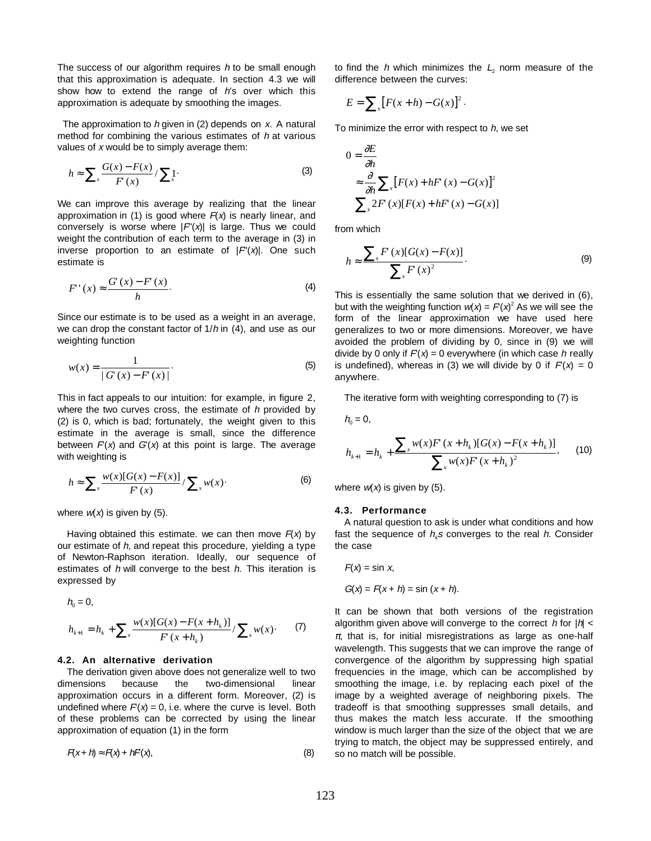The success of our algorithm requires  $h$  to be small enough that this approximation is adequate. In section 4.3 we will show how to extend the range of  $h$ 's over which this approximation is adequate by smoothing the images.

The approximation to  $h$  given in (2) depends on  $x$ . A natural method for combining the various estimates of  $h$  at various values of  $x$  would be to simply average them:

$$
h \approx \sum_{x} \frac{G(x) - F(x)}{F(x)} / \sum_{x} 1.
$$
 (3)

We can improve this average by realizing that the linear approximation in (1) is good where  $F(x)$  is nearly linear, and conversely is worse where  $|F'(x)|$  is large. Thus we could weight the contribution of each term to the average in (3) in inverse proportion to an estimate of  $|F'(x)|$ . One such estimate is

$$
F'(x) \approx \frac{G'(x) - F'(x)}{h}.
$$
 (4)

Since our estimate is to be used as a weight in an average, we can drop the constant factor of  $1/h$  in  $(4)$ , and use as our weighting function

$$
w(x) = \frac{1}{|G'(x) - F'(x)|}.
$$
\n<sup>(5)</sup>

This in fact appeals to our intuition: for example, in figure 2, where the two curves cross, the estimate of  $h$  provided by (2) is 0, which is bad; fortunately, the weight given to this estimate in the average is small, since the difference between  $F(x)$  and  $G'(x)$  at this point is large. The average with weighting is

$$
h \approx \sum_{x} \frac{w(x)[G(x) - F(x)]}{F(x)} / \sum_{x} w(x)
$$
 (6)

where  $w(x)$  is given by (5).

 $h^{\alpha}$ 

Having obtained this estimate. we can then move  $F(x)$  by our estimate of  $h$ , and repeat this procedure, yielding a type of Newton-Raphson iteration. Ideally, our sequence of estimates of  $h$  will converge to the best  $h$ . This iteration is expressed by

$$
h_0 = 0,
$$
  
\n
$$
h_{k+1} = h_k + \sum_{x} \frac{w(x)[G(x) - F(x + h_k)]}{F(x + h_k)} / \sum_{x} w(x).
$$
 (7)

# **4.2. An alternative derivation**

The derivation given above does not generalize well to two dimensions because the two-dimensional linear approximation occurs in a different form. Moreover, (2) is undefined where  $F(x) = 0$ , i.e. where the curve is level. Both of these problems can be corrected by using the linear approximation of equation (1) in the form

$$
F(x+h) \approx F(x) + hF(x),\tag{8}
$$

to find the h which minimizes the  $L<sub>2</sub>$  norm measure of the difference between the curves:

$$
E = \sum_{x} [F(x+h) - G(x)]^2.
$$

To minimize the error with respect to  $h$ , we set

$$
0 = \frac{\partial E}{\partial h}
$$
  
\n
$$
\approx \frac{\partial}{\partial h} \sum_{x} [F(x) + hF(x) - G(x)]^2
$$
  
\n
$$
\sum_{x} 2F(x)[F(x) + hF(x) - G(x)]
$$

from which

$$
h \approx \frac{\sum_{x} F(x)[G(x) - F(x)]}{\sum_{x} F(x)^2}.
$$
 (9)

This is essentially the same solution that we derived in (6), but with the weighting function  $w(x) = F(x)^2$  As we will see the form of the linear approximation we have used here generalizes to two or more dimensions. Moreover, we have avoided the problem of dividing by 0, since in (9) we will divide by 0 only if  $F(x) = 0$  everywhere (in which case h really is undefined), whereas in (3) we will divide by 0 if  $F(x) = 0$ anywhere.

The iterative form with weighting corresponding to (7) is

$$
h_0 = 0,
$$
  

$$
h_{k+1} = h_k + \frac{\sum_{x} w(x) F(x + h_k) [G(x) - F(x + h_k)]}{\sum_{x} w(x) F(x + h_k)^2},
$$
 (10)

where  $w(x)$  is given by (5).

#### **4.3. Performance**

A natural question to ask is under what conditions and how fast the sequence of  $h<sub>k</sub>$ s converges to the real h. Consider the case

$$
F(x) = \sin x,
$$
  
G(x) = F(x + h) = sin (x + h).

It can be shown that both versions of the registration algorithm given above will converge to the correct  $h$  for  $|h|$  <  $\pi$ , that is, for initial misregistrations as large as one-half wavelength. This suggests that we can improve the range of convergence of the algorithm by suppressing high spatial frequencies in the image, which can be accomplished by smoothing the image, i.e. by replacing each pixel of the image by a weighted average of neighboring pixels. The tradeoff is that smoothing suppresses small details, and thus makes the match less accurate. If the smoothing window is much larger than the size of the object that we are trying to match, the object may be suppressed entirely, and so no match will be possible.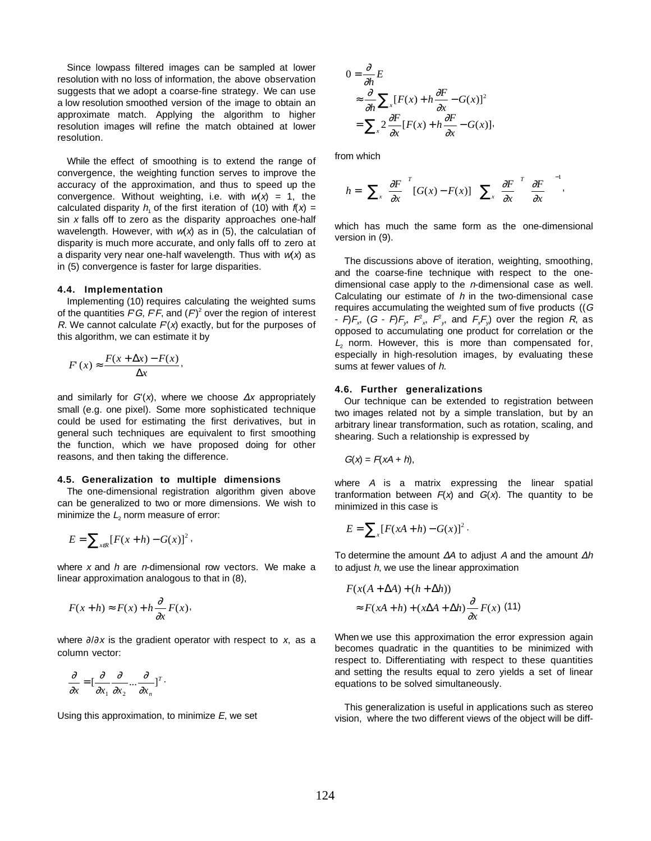Since lowpass filtered images can be sampled at lower resolution with no loss of information, the above observation suggests that we adopt a coarse-fine strategy. We can use a low resolution smoothed version of the image to obtain an approximate match. Applying the algorithm to higher resolution images will refine the match obtained at lower resolution.

While the effect of smoothing is to extend the range of convergence, the weighting function serves to improve the accuracy of the approximation, and thus to speed up the convergence. Without weighting, i.e. with  $w(x) = 1$ , the calculated disparity  $h_1$  of the first iteration of (10) with  $f(x) =$ sin  $x$  falls off to zero as the disparity approaches one-half wavelength. However, with  $w(x)$  as in (5), the calculatian of disparity is much more accurate, and only falls off to zero at a disparity very near one-half wavelength. Thus with  $w(x)$  as in (5) convergence is faster for large disparities.

#### **4.4. Implementation**

Implementing (10) requires calculating the weighted sums of the quantities FG, FF, and  $(F)^2$  over the region of interest R. We cannot calculate  $F(x)$  exactly, but for the purposes of this algorithm, we can estimate it by

$$
F(x) \approx \frac{F(x + \Delta x) - F(x)}{\Delta x},
$$

and similarly for  $G'(x)$ , where we choose  $\Delta x$  appropriately small (e.g. one pixel). Some more sophisticated technique could be used for estimating the first derivatives, but in general such techniques are equivalent to first smoothing the function, which we have proposed doing for other reasons, and then taking the difference.

#### **4.5. Generalization to multiple dimensions**

The one-dimensional registration algorithm given above can be generalized to two or more dimensions. We wish to minimize the  $L<sub>2</sub>$  norm measure of error:

$$
E=\sum_{x\in R}[F(x+h)-G(x)]^2,
$$

where  $x$  and  $h$  are  $n$ -dimensional row vectors. We make a linear approximation analogous to that in (8),

$$
F(x+h) \approx F(x) + h \frac{\partial}{\partial x} F(x),
$$

where  $\partial/\partial x$  is the gradient operator with respect to x, as a column vector:

$$
\frac{\partial}{\partial x} = \left[\frac{\partial}{\partial x_1} \frac{\partial}{\partial x_2} \dots \frac{\partial}{\partial x_n}\right]^T
$$

Using this approximation, to minimize  $E$ , we set

$$
0 = \frac{\partial}{\partial h} E
$$
  
\n
$$
\approx \frac{\partial}{\partial h} \sum_{x} [F(x) + h \frac{\partial F}{\partial x} - G(x)]^2
$$
  
\n
$$
= \sum_{x} 2 \frac{\partial F}{\partial x} [F(x) + h \frac{\partial F}{\partial x} - G(x)].
$$

from which

$$
h = \left[\sum_{x} \left(\frac{\partial F}{\partial x}\right)^{T} \left[G(x) - F(x)\right] \right] \left[\sum_{x} \left(\frac{\partial F}{\partial x}\right)^{T} \left(\frac{\partial F}{\partial x}\right)\right]^{-1},
$$

which has much the same form as the one-dimensional version in (9).

The discussions above of iteration, weighting, smoothing, and the coarse-fine technique with respect to the onedimensional case apply to the  $n$ -dimensional case as well. Calculating our estimate of  $h$  in the two-dimensional case requires accumulating the weighted sum of five products ((G -  $F$ ) $F_x$ , (G -  $F$ ) $F_y$ ,  $F^2_x$ ,  $F^2_y$ , and  $F_xF_y$ ) over the region R, as opposed to accumulating one product for correlation or the  $L<sub>2</sub>$  norm. However, this is more than compensated for, especially in high-resolution images, by evaluating these sums at fewer values of h.

### **4.6. Further generalizations**

Our technique can be extended to registration between two images related not by a simple translation, but by an arbitrary linear transformation, such as rotation, scaling, and shearing. Such a relationship is expressed by

$$
G(x) = F(xA + h),
$$

where A is a matrix expressing the linear spatial tranformation between  $F(x)$  and  $G(x)$ . The quantity to be minimized in this case is

$$
E = \sum_{x} [F(xA + h) - G(x)]^{2}.
$$

To determine the amount  $\Delta A$  to adjust A and the amount  $\Delta h$ to adjust  $h$ , we use the linear approximation

$$
F(x(A + \Delta A) + (h + \Delta h))
$$
  
\n
$$
\approx F(xA + h) + (x\Delta A + \Delta h)\frac{\partial}{\partial x}F(x)
$$
 (11)

When we use this approximation the error expression again becomes quadratic in the quantities to be minimized with respect to. Differentiating with respect to these quantities and setting the results equal to zero yields a set of linear equations to be solved simultaneously.

This generalization is useful in applications such as stereo vision, where the two different views of the object will be diff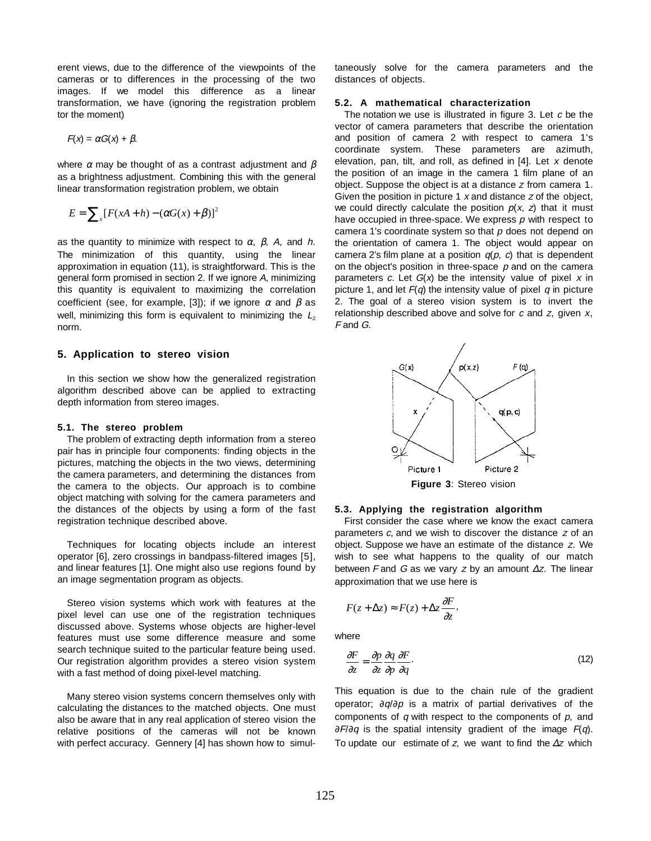erent views, due to the difference of the viewpoints of the cameras or to differences in the processing of the two images. If we model this difference as a linear transformation, we have (ignoring the registration problem tor the moment)

$$
F(x) = \alpha G(x) + \beta.
$$

where  $\alpha$  may be thought of as a contrast adjustment and  $\beta$ as a brightness adjustment. Combining this with the general linear transformation registration problem, we obtain

$$
E = \sum_{x} [F(xA + h) - (\alpha G(x) + \beta)]^2
$$

as the quantity to minimize with respect to  $\alpha$ ,  $\beta$ , A, and h. The minimization of this quantity, using the linear approximation in equation (11), is straightforward. This is the general form promised in section 2. If we ignore A, minimizing this quantity is equivalent to maximizing the correlation coefficient (see, for example, [3]); if we ignore  $\alpha$  and  $\beta$  as well, minimizing this form is equivalent to minimizing the  $L_2$ norm.

## **5. Application to stereo vision**

In this section we show how the generalized registration algorithm described above can be applied to extracting depth information from stereo images.

## **5.1. The stereo problem**

The problem of extracting depth information from a stereo pair has in principle four components: finding objects in the pictures, matching the objects in the two views, determining the camera parameters, and determining the distances from the camera to the objects. Our approach is to combine object matching with solving for the camera parameters and the distances of the objects by using a form of the fast registration technique described above.

Techniques for locating objects include an interest operator [6], zero crossings in bandpass-filtered images [5], and linear features [1]. One might also use regions found by an image segmentation program as objects.

Stereo vision systems which work with features at the pixel level can use one of the registration techniques discussed above. Systems whose objects are higher-level features must use some difference measure and some search technique suited to the particular feature being used. Our registration algorithm provides a stereo vision system with a fast method of doing pixel-level matching.

Many stereo vision systems concern themselves only with calculating the distances to the matched objects. One must also be aware that in any real application of stereo vision the relative positions of the cameras will not be known with perfect accuracy. Gennery [4] has shown how to simultaneously solve for the camera parameters and the distances of objects.

### **5.2. A mathematical characterization**

The notation we use is illustrated in figure 3. Let  $c$  be the vector of camera parameters that describe the orientation and position of camera 2 with respect to camera 1's coordinate system. These parameters are azimuth, elevation, pan, tilt, and roll, as defined in  $[4]$ . Let x denote the position of an image in the camera 1 film plane of an object. Suppose the object is at a distance z from camera 1. Given the position in picture 1  $x$  and distance  $z$  of the object, we could directly calculate the position  $p(x, z)$  that it must have occupied in three-space. We express  $p$  with respect to camera 1's coordinate system so that  $p$  does not depend on the orientation of camera 1. The object would appear on camera 2's film plane at a position  $q(p, c)$  that is dependent on the object's position in three-space  $p$  and on the camera parameters c. Let  $G(x)$  be the intensity value of pixel x in picture 1, and let  $F(q)$  the intensity value of pixel q in picture 2. The goal of a stereo vision system is to invert the relationship described above and solve for  $c$  and  $z$ , given  $x$ , F and G.



#### **5.3. Applying the registration algorithm**

First consider the case where we know the exact camera parameters  $c$ , and we wish to discover the distance  $z$  of an object. Suppose we have an estimate of the distance z. We wish to see what happens to the quality of our match between F and G as we vary z by an amount  $\Delta z$ . The linear approximation that we use here is

$$
F(z + \Delta z) \approx F(z) + \Delta z \frac{\partial F}{\partial z},
$$

where

$$
\frac{\partial F}{\partial z} = \frac{\partial p}{\partial z} \frac{\partial q}{\partial p} \frac{\partial F}{\partial q}.
$$
\n(12)

This equation is due to the chain rule of the gradient operator; ∂q/∂p is a matrix of partial derivatives of the components of  $q$  with respect to the components of  $p$ , and  $∂F/∂q$  is the spatial intensity gradient of the image  $F(q)$ . To update our estimate of z, we want to find the  $\Delta z$  which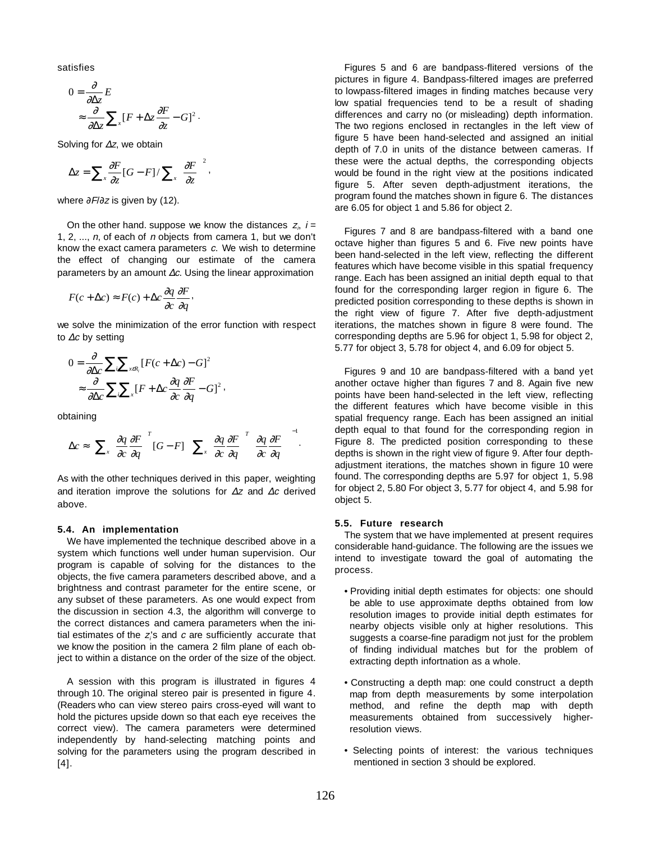satisfies

$$
0 = \frac{\partial}{\partial \Delta z} E
$$
  
\n
$$
\approx \frac{\partial}{\partial \Delta z} \sum_{x} [F + \Delta z \frac{\partial F}{\partial z} - G]^2.
$$

Solving for <sup>∆</sup>z, we obtain

$$
\Delta z = \sum_{x} \frac{\partial F}{\partial z} [G - F] / \sum_{x} \left( \frac{\partial F}{\partial z} \right)^2,
$$

where  $\partial F/\partial z$  is given by (12).

On the other hand. suppose we know the distances  $z_i$ ,  $i =$ 1, 2,  $..., n$ , of each of *n* objects from camera 1, but we don't know the exact camera parameters  $c$ . We wish to determine the effect of changing our estimate of the camera parameters by an amount ∆c. Using the linear approximation

$$
F(c + \Delta c) \approx F(c) + \Delta c \frac{\partial q}{\partial c} \frac{\partial F}{\partial q},
$$

we solve the minimization of the error function with respect to <sup>∆</sup>c by setting

$$
0 = \frac{\partial}{\partial \Delta c} \sum_{i} \sum_{x \in R_i} [F(c + \Delta c) - G]^2
$$
  

$$
\approx \frac{\partial}{\partial \Delta c} \sum_{i} \sum_{x} [F + \Delta c \frac{\partial q}{\partial c} \frac{\partial F}{\partial q} - G]^2,
$$

obtaining

$$
\Delta c \approx \left[ \sum_{x} \left( \frac{\partial q}{\partial c} \frac{\partial F}{\partial q} \right)^{T} [G - F] \right] \left[ \sum_{x} \left( \frac{\partial q}{\partial c} \frac{\partial F}{\partial q} \right)^{T} \left( \frac{\partial q}{\partial c} \frac{\partial F}{\partial q} \right) \right]^{-1}.
$$

As with the other techniques derived in this paper, weighting and iteration improve the solutions for <sup>∆</sup>z and <sup>∆</sup>c derived above.

#### **5.4. An implementation**

We have implemented the technique described above in a system which functions well under human supervision. Our program is capable of solving for the distances to the objects, the five camera parameters described above, and a brightness and contrast parameter for the entire scene, or any subset of these parameters. As one would expect from the discussion in section 4.3, the algorithm will converge to the correct distances and camera parameters when the initial estimates of the  $z_i$ 's and c are sufficiently accurate that we know the position in the camera 2 film plane of each object to within a distance on the order of the size of the object.

A session with this program is illustrated in figures 4 through 10. The original stereo pair is presented in figure 4. (Readers who can view stereo pairs cross-eyed will want to hold the pictures upside down so that each eye receives the correct view). The camera parameters were determined independently by hand-selecting matching points and solving for the parameters using the program described in [4].

Figures 5 and 6 are bandpass-flitered versions of the pictures in figure 4. Bandpass-filtered images are preferred to lowpass-filtered images in finding matches because very low spatial frequencies tend to be a result of shading differences and carry no (or misleading) depth information. The two regions enclosed in rectangles in the left view of figure 5 have been hand-selected and assigned an initial depth of 7.0 in units of the distance between cameras. If these were the actual depths, the corresponding objects would be found in the right view at the positions indicated figure 5. After seven depth-adjustment iterations, the program found the matches shown in figure 6. The distances are 6.05 for object 1 and 5.86 for object 2.

Figures 7 and 8 are bandpass-filtered with a band one octave higher than figures 5 and 6. Five new points have been hand-selected in the left view, reflecting the different features which have become visible in this spatial frequency range. Each has been assigned an initial depth equal to that found for the corresponding larger region in figure 6. The predicted position corresponding to these depths is shown in the right view of figure 7. After five depth-adjustment iterations, the matches shown in figure 8 were found. The corresponding depths are 5.96 for object 1, 5.98 for object 2, 5.77 for object 3, 5.78 for object 4, and 6.09 for object 5.

Figures 9 and 10 are bandpass-filtered with a band yet another octave higher than figures 7 and 8. Again five new points have been hand-selected in the left view, reflecting the different features which have become visible in this spatial frequency range. Each has been assigned an initial depth equal to that found for the corresponding region in Figure 8. The predicted position corresponding to these depths is shown in the right view of figure 9. After four depthadjustment iterations, the matches shown in figure 10 were found. The corresponding depths are 5.97 for object 1, 5.98 for object 2, 5.80 For object 3, 5.77 for object 4, and 5.98 for object 5.

#### **5.5. Future research**

The system that we have implemented at present requires considerable hand-guidance. The following are the issues we intend to investigate toward the goal of automating the process.

- Providing initial depth estimates for objects: one should be able to use approximate depths obtained from low resolution images to provide initial depth estimates for nearby objects visible only at higher resolutions. This suggests a coarse-fine paradigm not just for the problem of finding individual matches but for the problem of extracting depth infortnation as a whole.
- Constructing a depth map: one could construct a depth map from depth measurements by some interpolation method, and refine the depth map with depth measurements obtained from successively higherresolution views.
- Selecting points of interest: the various techniques mentioned in section 3 should be explored.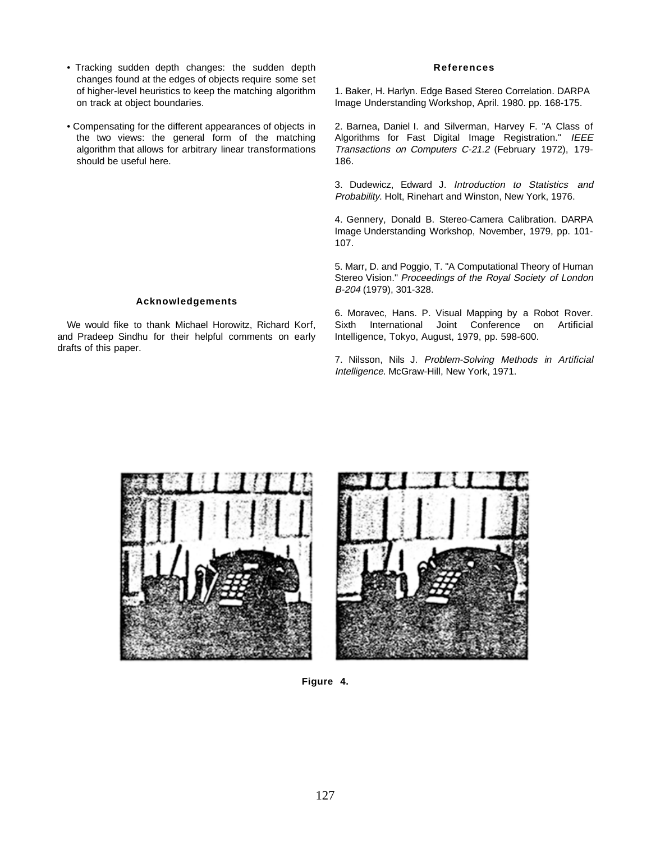- Tracking sudden depth changes: the sudden depth changes found at the edges of objects require some set of higher-level heuristics to keep the matching algorithm on track at object boundaries.
- Compensating for the different appearances of objects in the two views: the general form of the matching algorithm that allows for arbitrary linear transformations should be useful here.

# **Acknowledgements**

We would fike to thank Michael Horowitz, Richard Korf, and Pradeep Sindhu for their helpful comments on early drafts of this paper.

## **References**

1. Baker, H. Harlyn. Edge Based Stereo Correlation. DARPA Image Understanding Workshop, April. 1980. pp. 168-175.

2. Barnea, Daniel I. and Silverman, Harvey F. "A Class of Algorithms for Fast Digital Image Registration." IEEE Transactions on Computers C-21.2 (February 1972), 179- 186.

3. Dudewicz, Edward J. Introduction to Statistics and Probability. Holt, Rinehart and Winston, New York, 1976.

4. Gennery, Donald B. Stereo-Camera Calibration. DARPA Image Understanding Workshop, November, 1979, pp. 101- 107.

5. Marr, D. and Poggio, T. "A Computational Theory of Human Stereo Vision." Proceedings of the Royal Society of London B-204 (1979), 301-328.

6. Moravec, Hans. P. Visual Mapping by a Robot Rover. Sixth International Joint Conference on Artificial Intelligence, Tokyo, August, 1979, pp. 598-600.

7. Nilsson, Nils J. Problem-Solving Methods in Artificial Intelligence. McGraw-Hill, New York, 1971.





**Figure 4.**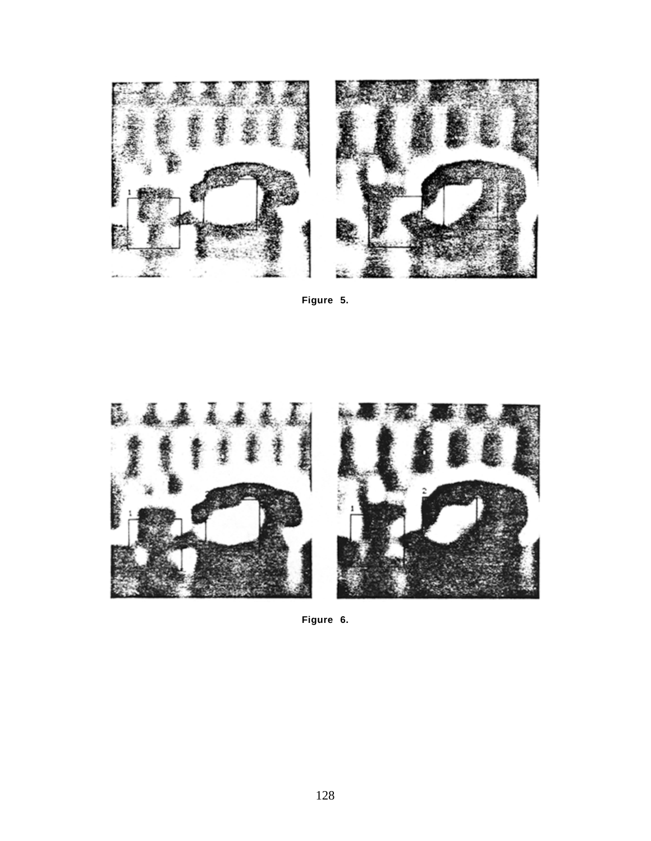

**Figure 5.**



**Figure 6.**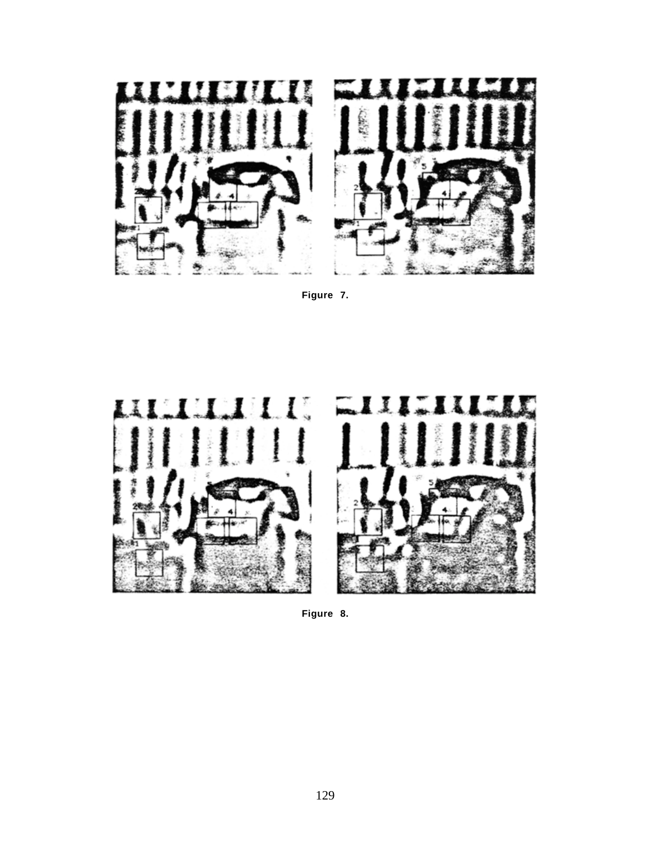

**Figure 7.**





**Figure 8.**